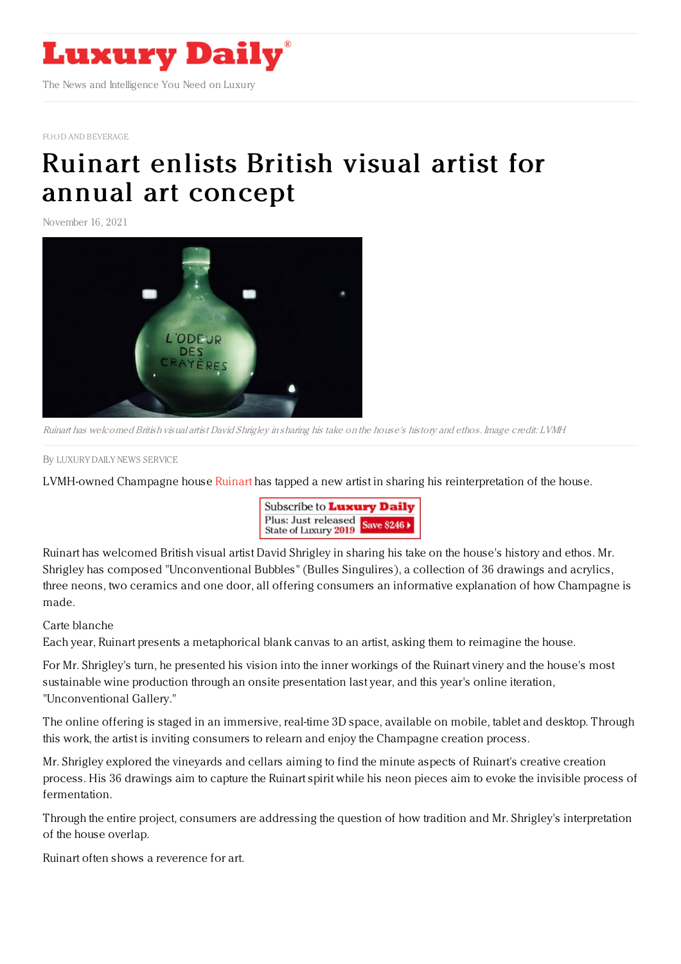

FOOD AND [BEVERAGE](https://www.luxurydaily.com/category/sectors/food-and-beverage/)

## Ruinart enlists British visual artist for annual art [concept](https://www.luxurydaily.com/british-visual-artist-reimagines-ruinart-in-yearly-art-concept/)

November 16, 2021



Ruinart has welcomed British visual artist David Shrigley in sharing his take on the house's history and ethos. Image credit: LVMH

By LUXURY DAILY NEWS [SERVICE](file:///author/luxury-daily-news-service)

LVMH-owned Champagne house [Ruinart](https://www.ruinart.com/en-us) has tapped a new artist in sharing his reinterpretation of the house.



Ruinart has welcomed British visual artist David Shrigley in sharing his take on the house's history and ethos. Mr. Shrigley has composed "Unconventional Bubbles" (Bulles Singulires), a collection of 36 drawings and acrylics, three neons, two ceramics and one door, all offering consumers an informative explanation of how Champagne is made.

## Carte blanche

Each year, Ruinart presents a metaphorical blank canvas to an artist, asking them to reimagine the house.

For Mr. Shrigley's turn, he presented his vision into the inner workings of the Ruinart vinery and the house's most sustainable wine production through an onsite presentation last year, and this year's online iteration, "Unconventional Gallery."

The online offering is staged in an immersive, real-time 3D space, available on mobile, tablet and desktop. Through this work, the artist is inviting consumers to relearn and enjoy the Champagne creation process.

Mr. Shrigley explored the vineyards and cellars aiming to find the minute aspects of Ruinart's creative creation process. His 36 drawings aim to capture the Ruinart spirit while his neon pieces aim to evoke the invisible process of fermentation.

Through the entire project, consumers are addressing the question of how tradition and Mr. Shrigley's interpretation of the house overlap.

Ruinart often shows a reverence for art.